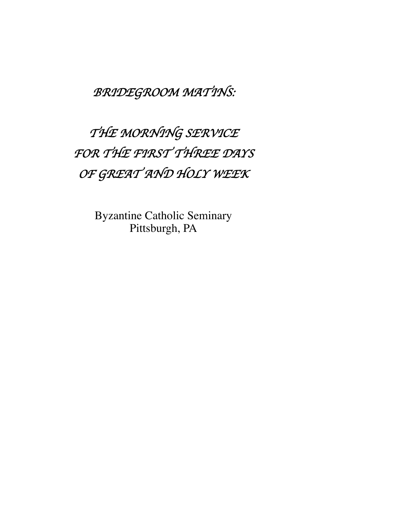*BRIDEGROOM MATINS:*

*THE MORNING SERVICE FOR THE FIRST THREE DAYS OF GREAT AND HOLY WEEK*

> Byzantine Catholic Seminary Pittsburgh, PA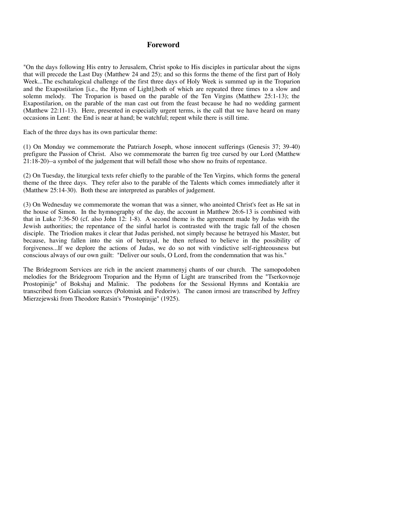## **Foreword**

"On the days following His entry to Jerusalem, Christ spoke to His disciples in particular about the signs that will precede the Last Day (Matthew 24 and 25); and so this forms the theme of the first part of Holy Week...The eschatalogical challenge of the first three days of Holy Week is summed up in the Troparion and the Exapostilarion [i.e., the Hymn of Light],both of which are repeated three times to a slow and solemn melody. The Troparion is based on the parable of the Ten Virgins (Matthew 25:1-13); the Exapostilarion, on the parable of the man cast out from the feast because he had no wedding garment (Matthew 22:11-13). Here, presented in especially urgent terms, is the call that we have heard on many occasions in Lent: the End is near at hand; be watchful; repent while there is still time.

Each of the three days has its own particular theme:

(1) On Monday we commemorate the Patriarch Joseph, whose innocent sufferings (Genesis 37; 39-40) prefigure the Passion of Christ. Also we commemorate the barren fig tree cursed by our Lord (Matthew 21:18-20)--a symbol of the judgement that will befall those who show no fruits of repentance.

(2) On Tuesday, the liturgical texts refer chiefly to the parable of the Ten Virgins, which forms the general theme of the three days. They refer also to the parable of the Talents which comes immediately after it (Matthew 25:14-30). Both these are interpreted as parables of judgement.

(3) On Wednesday we commemorate the woman that was a sinner, who anointed Christ's feet as He sat in the house of Simon. In the hymnography of the day, the account in Matthew 26:6-13 is combined with that in Luke 7:36-50 (cf. also John 12: 1-8). A second theme is the agreement made by Judas with the Jewish authorities; the repentance of the sinful harlot is contrasted with the tragic fall of the chosen disciple. The Triodion makes it clear that Judas perished, not simply because he betrayed his Master, but because, having fallen into the sin of betrayal, he then refused to believe in the possibility of forgiveness...If we deplore the actions of Judas, we do so not with vindictive self-righteousness but conscious always of our own guilt: "Deliver our souls, O Lord, from the condemnation that was his."

The Bridegroom Services are rich in the ancient znammenyj chants of our church. The samopodoben melodies for the Bridegroom Troparion and the Hymn of Light are transcribed from the "Tserkovnoje Prostopinije" of Bokshaj and Malinic. The podobens for the Sessional Hymns and Kontakia are transcribed from Galician sources (Polotniuk and Fedoriw). The canon irmosi are transcribed by Jeffrey Mierzejewski from Theodore Ratsin's "Prostopinije" (1925).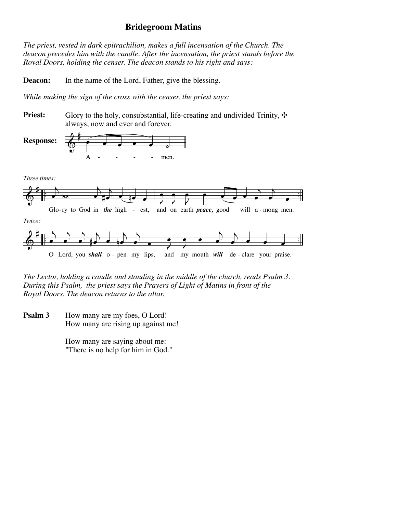# **Bridegroom Matins**

*The priest, vested in dark epitrachilion, makes a full incensation of the Church. The deacon precedes him with the candle. After the incensation, the priest stands before the Royal Doors, holding the censer. The deacon stands to his right and says:*

**Deacon:** In the name of the Lord, Father, give the blessing.

*While making the sign of the cross with the censer, the priest says:*

**Priest:** Glory to the holy, consubstantial, life-creating and undivided Trinity,  $\cdot \cdot$ always, now and ever and forever.



*The Lector, holding a candle and standing in the middle of the church, reads Psalm 3. During this Psalm, the priest says the Prayers of Light of Matins in front of the Royal Doors. The deacon returns to the altar.* 

How many are my foes, O Lord! How many are rising up against me! **Psalm 3**

> How many are saying about me: "There is no help for him in God."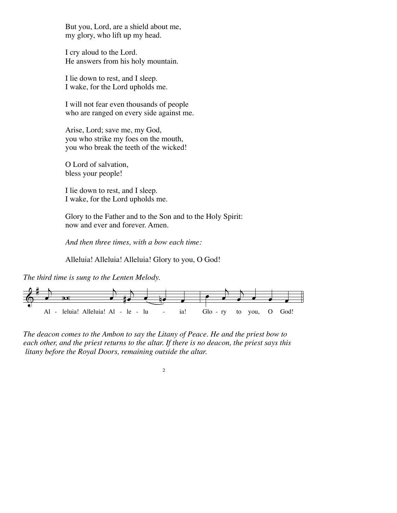But you, Lord, are a shield about me, my glory, who lift up my head.

I cry aloud to the Lord. He answers from his holy mountain.

I lie down to rest, and I sleep. I wake, for the Lord upholds me.

I will not fear even thousands of people who are ranged on every side against me.

Arise, Lord; save me, my God, you who strike my foes on the mouth, you who break the teeth of the wicked!

O Lord of salvation, bless your people!

I lie down to rest, and I sleep. I wake, for the Lord upholds me.

Glory to the Father and to the Son and to the Holy Spirit: now and ever and forever. Amen.

*And then three times, with a bow each time:*

Alleluia! Alleluia! Alleluia! Glory to you, O God!

*The third time is sung to the Lenten Melody.*



*The deacon comes to the Ambon to say the Litany of Peace. He and the priest bow to each other, and the priest returns to the altar. If there is no deacon, the priest says this litany before the Royal Doors, remaining outside the altar.*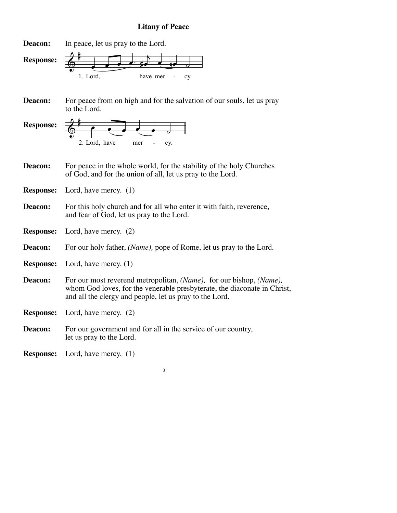# **Litany of Peace**



For peace from on high and for the salvation of our souls, let us pray to the Lord. **Deacon:**

 $\frac{2}{9}$ 2. Lord, have mer - cy.  $\bullet$   $\bullet$   $\bullet$   $\bullet$   $\bullet$ **Response:**

- For peace in the whole world, for the stability of the holy Churches of God, and for the union of all, let us pray to the Lord. **Deacon:**
- Lord, have mercy. (1) **Response:**
- For this holy church and for all who enter it with faith, reverence, and fear of God, let us pray to the Lord. **Deacon:**
- Lord, have mercy. (2) **Response:**
- For our holy father, *(Name),* pope of Rome, let us pray to the Lord. **Deacon:**
- Lord, have mercy. (1) **Response:**
- For our most reverend metropolitan, *(Name),* for our bishop, *(Name),* whom God loves, for the venerable presbyterate, the diaconate in Christ, and all the clergy and people, let us pray to the Lord. **Deacon:**
- Lord, have mercy. (2) **Response:**
- For our government and for all in the service of our country, let us pray to the Lord. **Deacon:**

Lord, have mercy. (1) **Response:**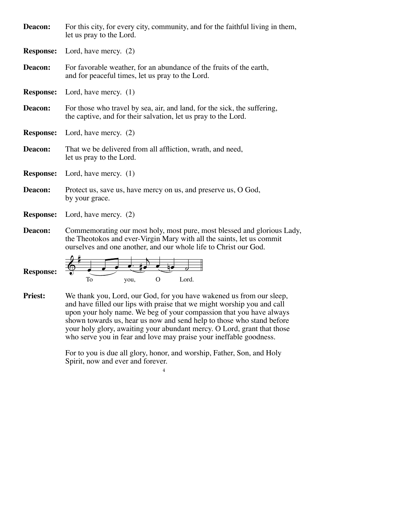| Deacon:          | For this city, for every city, community, and for the faithful living in them,<br>let us pray to the Lord.                                 |  |
|------------------|--------------------------------------------------------------------------------------------------------------------------------------------|--|
|                  | <b>Response:</b> Lord, have mercy. (2)                                                                                                     |  |
| Deacon:          | For favorable weather, for an abundance of the fruits of the earth,<br>and for peaceful times, let us pray to the Lord.                    |  |
| <b>Response:</b> | Lord, have mercy. $(1)$                                                                                                                    |  |
| Deacon:          | For those who travel by sea, air, and land, for the sick, the suffering,<br>the captive, and for their salvation, let us pray to the Lord. |  |
|                  | <b>Response:</b> Lord, have mercy. (2)                                                                                                     |  |
| Deacon:          | That we be delivered from all affliction, wrath, and need,<br>let us pray to the Lord.                                                     |  |
| <b>Response:</b> | Lord, have mercy. $(1)$                                                                                                                    |  |
| Deacon:          | Protect us, save us, have mercy on us, and preserve us, O God,<br>by your grace.                                                           |  |
|                  | <b>Response:</b> Lord, have mercy. (2)                                                                                                     |  |
| Deacon:          | Commemorating our most holy, most pure, most blessed and glorious Lady,                                                                    |  |

the Theotokos and ever-Virgin Mary with all the saints, let us commit ourselves and one another, and our whole life to Christ our God.

**Response:**



We thank you, Lord, our God, for you have wakened us from our sleep, and have filled our lips with praise that we might worship you and call upon your holy name. We beg of your compassion that you have always shown towards us, hear us now and send help to those who stand before your holy glory, awaiting your abundant mercy. O Lord, grant that those who serve you in fear and love may praise your ineffable goodness. **Priest:**

> For to you is due all glory, honor, and worship, Father, Son, and Holy Spirit, now and ever and forever.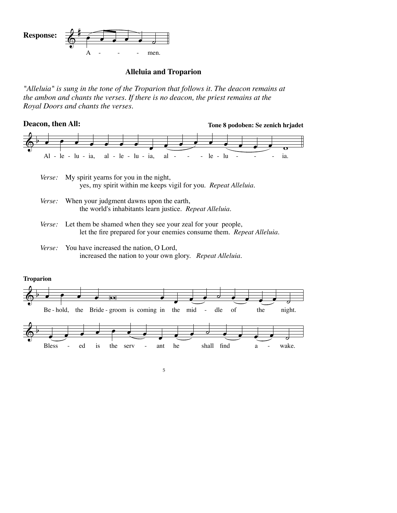

## **Alleluia and Troparion**

*"Alleluia" is sung in the tone of the Troparion that follows it. The deacon remains at the ambon and chants the verses. If there is no deacon, the priest remains at the Royal Doors and chants the verses.* 



- My spirit yearns for you in the night, yes, my spirit within me keeps vigil for you. *Repeat Alleluia. Verse:*
- When your judgment dawns upon the earth, the world's inhabitants learn justice. *Repeat Alleluia. Verse:*
- Let them be shamed when they see your zeal for your people, let the fire prepared for your enemies consume them. *Repeat Alleluia. Verse:*
- You have increased the nation, O Lord, increased the nation to your own glory. *Repeat Alleluia. Verse:*

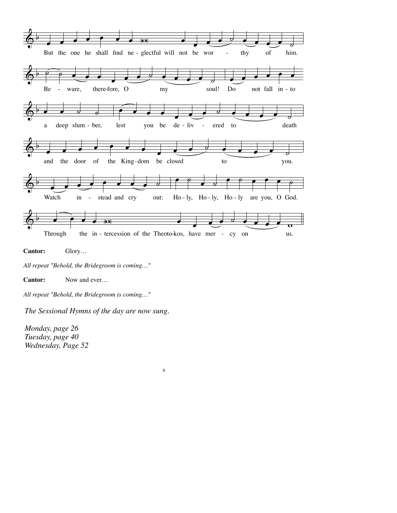

**Cantor:** Glory…

*All repeat "Behold, the Bridegroom is coming…"*

**Cantor:** Now and ever…

*All repeat "Behold, the Bridegroom is coming…"*

*The Sessional Hymns of the day are now sung.*

*Monday, page 26 Tuesday, page 40 Wednesday, Page 52*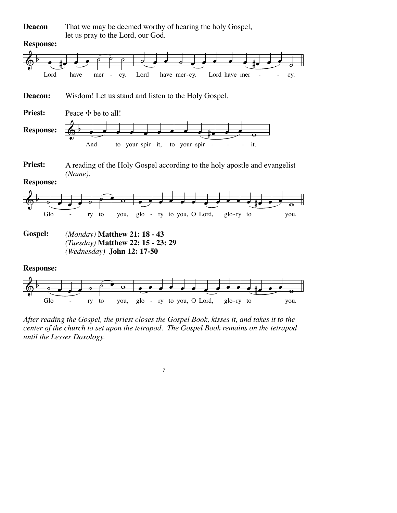That we may be deemed worthy of hearing the holy Gospel, let us pray to the Lord, our God. **Deacon**



*After reading the Gospel, the priest closes the Gospel Book, kisses it, and takes it to the center of the church to set upon the tetrapod. The Gospel Book remains on the tetrapod until the Lesser Doxology.*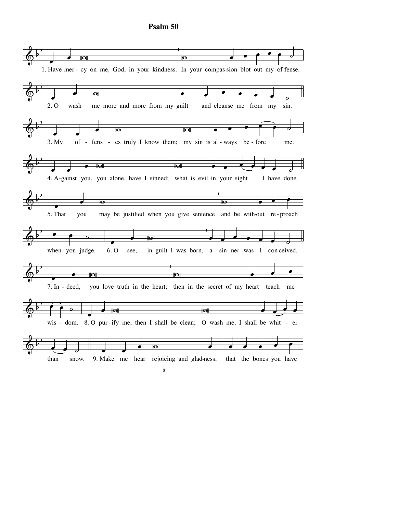

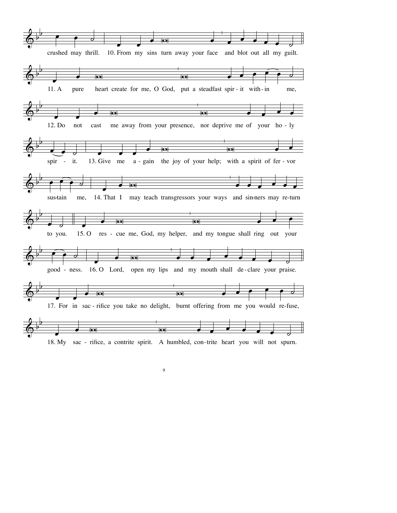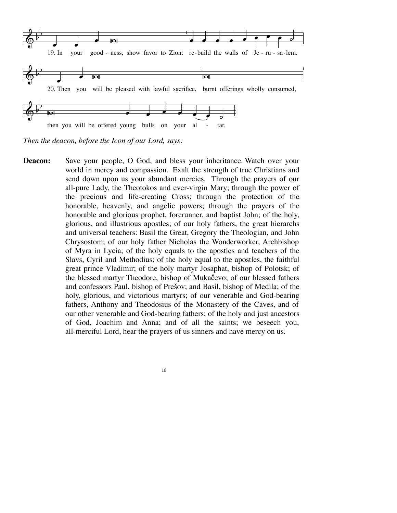

*Then the deacon, before the Icon of our Lord, says:*

Save your people, O God, and bless your inheritance. Watch over your world in mercy and compassion. Exalt the strength of true Christians and send down upon us your abundant mercies. Through the prayers of our all-pure Lady, the Theotokos and ever-virgin Mary; through the power of the precious and life-creating Cross; through the protection of the honorable, heavenly, and angelic powers; through the prayers of the honorable and glorious prophet, forerunner, and baptist John; of the holy, glorious, and illustrious apostles; of our holy fathers, the great hierarchs and universal teachers: Basil the Great, Gregory the Theologian, and John Chrysostom; of our holy father Nicholas the Wonderworker, Archbishop of Myra in Lycia; of the holy equals to the apostles and teachers of the Slavs, Cyril and Methodius; of the holy equal to the apostles, the faithful great prince Vladimir; of the holy martyr Josaphat, bishop of Polotsk; of the blessed martyr Theodore, bishop of Mukačevo; of our blessed fathers and confessors Paul, bishop of Presov; and Basil, bishop of Medila; of the holy, glorious, and victorious martyrs; of our venerable and God-bearing fathers, Anthony and Theodosius of the Monastery of the Caves, and of our other venerable and God-bearing fathers; of the holy and just ancestors of God, Joachim and Anna; and of all the saints; we beseech you, all-merciful Lord, hear the prayers of us sinners and have mercy on us. **Deacon:**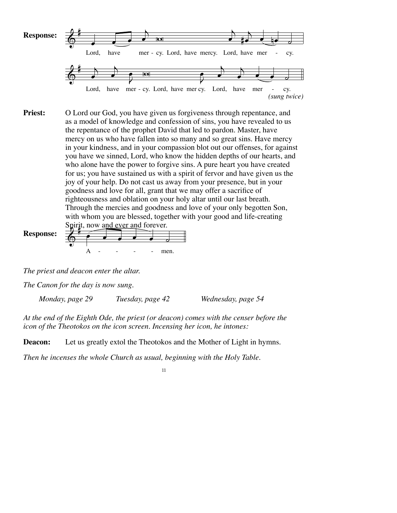

O Lord our God, you have given us forgiveness through repentance, and as a model of knowledge and confession of sins, you have revealed to us the repentance of the prophet David that led to pardon. Master, have mercy on us who have fallen into so many and so great sins. Have mercy in your kindness, and in your compassion blot out our offenses, for against you have we sinned, Lord, who know the hidden depths of our hearts, and who alone have the power to forgive sins. A pure heart you have created for us; you have sustained us with a spirit of fervor and have given us the joy of your help. Do not cast us away from your presence, but in your goodness and love for all, grant that we may offer a sacrifice of righteousness and oblation on your holy altar until our last breath. Through the mercies and goodness and love of your only begotten Son, with whom you are blessed, together with your good and life-creating **Priest:**

Spirit, now and ever and forever. A - - - - - men. **Response:**

*The priest and deacon enter the altar.*

*The Canon for the day is now sung.*

 *Monday, page 29 Tuesday, page 42 Wednesday, page 54*

*At the end of the Eighth Ode, the priest (or deacon) comes with the censer before the icon of the Theotokos on the icon screen. Incensing her icon, he intones:*

**Deacon:** Let us greatly extol the Theotokos and the Mother of Light in hymns.

*Then he incenses the whole Church as usual, beginning with the Holy Table.*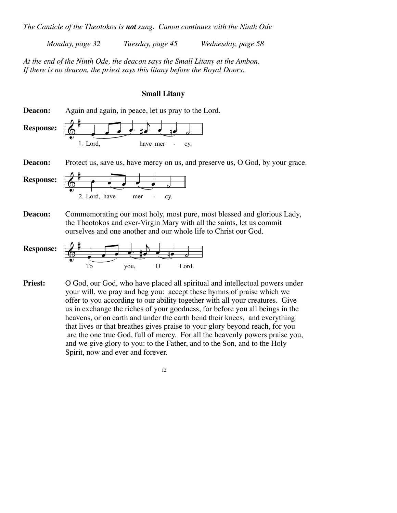*The Canticle of the Theotokos is not sung. Canon continues with the Ninth Ode*

 *Monday, page 32 Tuesday, page 45 Wednesday, page 58*

*At the end of the Ninth Ode, the deacon says the Small Litany at the Ambon. If there is no deacon, the priest says this litany before the Royal Doors.*

## **Small Litany**

 $\frac{2}{9}$ 1.  $\overline{\mathbf{e} \cdot \mathbf{e} \cdot \mathbf{e}}$ #<del>e</del> e be a have mer - cy.  $\frac{2}{9}$ 2. Lord, have mer - cy.  $\bullet$   $\bullet$   $\bullet$   $\bullet$   $\bullet$ Again and again, in peace, let us pray to the Lord. Protect us, save us, have mercy on us, and preserve us, O God, by your grace. Commemorating our most holy, most pure, most blessed and glorious Lady, the Theotokos and ever-Virgin Mary with all the saints, let us commit ourselves and one another and our whole life to Christ our God. **Deacon: Response: Deacon: Response: Deacon:**



O God, our God, who have placed all spiritual and intellectual powers under your will, we pray and beg you: accept these hymns of praise which we offer to you according to our ability together with all your creatures. Give us in exchange the riches of your goodness, for before you all beings in the heavens, or on earth and under the earth bend their knees, and everything that lives or that breathes gives praise to your glory beyond reach, for you are the one true God, full of mercy. For all the heavenly powers praise you, and we give glory to you: to the Father, and to the Son, and to the Holy Spirit, now and ever and forever. **Priest:**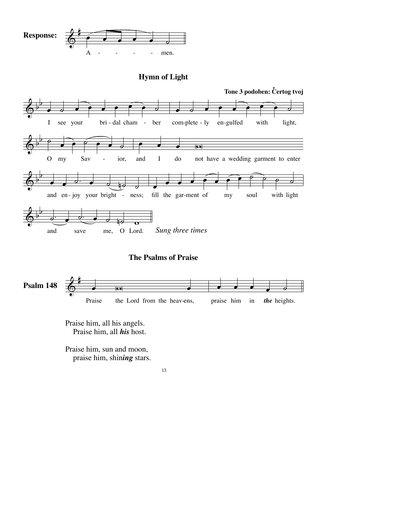

# **Hymn of Light**





Praise him, all his angels. Praise him, all *his* host.

Praise him, sun and moon, praise him, shin*ing* stars.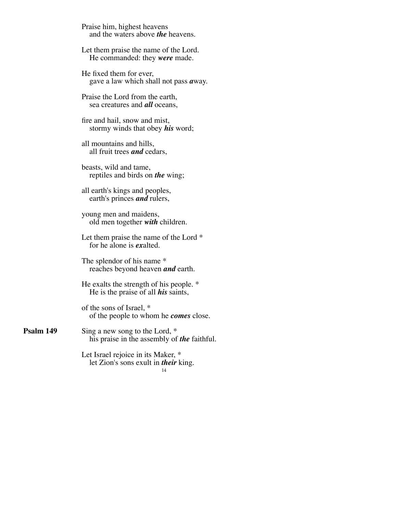Praise him, highest heavens and the waters above *the* heavens.

Let them praise the name of the Lord. He commanded: they *were* made.

He fixed them for ever, gave a law which shall not pass *<sup>a</sup>*way.

Praise the Lord from the earth, sea creatures and *all* oceans,

fire and hail, snow and mist, stormy winds that obey *his* word;

all mountains and hills, all fruit trees *and* cedars,

beasts, wild and tame, reptiles and birds on *the* wing;

all earth's kings and peoples, earth's princes *and* rulers,

young men and maidens, old men together *with* children.

Let them praise the name of the Lord  $*$ for he alone is *ex*alted.

The splendor of his name \*<br>reaches beyond heaven *and* earth.

He exalts the strength of his people. \* He is the praise of all *his* saints,

of the sons of Israel, \* of the people to whom he *comes* close.

Sing a new song to the Lord, \* his praise in the assembly of *the* faithful. **Psalm 149**

> Let Israel rejoice in its Maker, \* let Zion's sons exult in *their* king.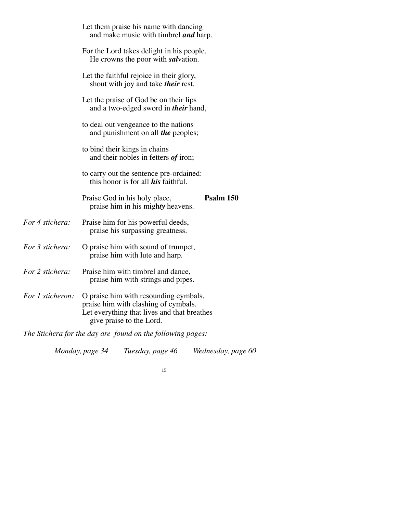|                  | Let them praise his name with dancing<br>and make music with timbrel <i>and</i> harp.                                                                    |                                                                                         |                    |  |
|------------------|----------------------------------------------------------------------------------------------------------------------------------------------------------|-----------------------------------------------------------------------------------------|--------------------|--|
|                  |                                                                                                                                                          | For the Lord takes delight in his people.<br>He crowns the poor with <i>salvation</i> . |                    |  |
|                  | Let the faithful rejoice in their glory,<br>shout with joy and take <i>their</i> rest.                                                                   |                                                                                         |                    |  |
|                  | Let the praise of God be on their lips<br>and a two-edged sword in <i>their</i> hand,                                                                    |                                                                                         |                    |  |
|                  | to deal out vengeance to the nations<br>and punishment on all the peoples;                                                                               |                                                                                         |                    |  |
|                  | to bind their kings in chains<br>and their nobles in fetters of iron;                                                                                    |                                                                                         |                    |  |
|                  | to carry out the sentence pre-ordained:<br>this honor is for all <i>his</i> faithful.                                                                    |                                                                                         |                    |  |
|                  |                                                                                                                                                          | Praise God in his holy place,<br>praise him in his mighty heavens.                      | Psalm 150          |  |
| For 4 stichera:  |                                                                                                                                                          | Praise him for his powerful deeds,<br>praise his surpassing greatness.                  |                    |  |
| For 3 stichera:  | O praise him with sound of trumpet,<br>praise him with lute and harp.                                                                                    |                                                                                         |                    |  |
| For 2 stichera:  | Praise him with timbrel and dance,<br>praise him with strings and pipes.                                                                                 |                                                                                         |                    |  |
| For 1 sticheron: | O praise him with resounding cymbals,<br>praise him with clashing of cymbals.<br>Let everything that lives and that breathes<br>give praise to the Lord. |                                                                                         |                    |  |
|                  |                                                                                                                                                          | The Stichera for the day are found on the following pages:                              |                    |  |
|                  | Monday, page 34                                                                                                                                          | Tuesday, page 46                                                                        | Wednesday, page 60 |  |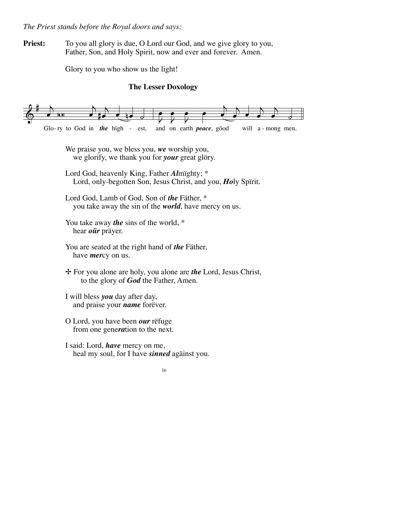*The Priest stands before the Royal doors and says:*

**Priest:** To you all glory is due, O Lord our God, and we give glory to you, Father, Son, and Holy Spirit, now and ever and forever. Amen.

Glory to you who show us the light!

## **The Lesser Doxology**

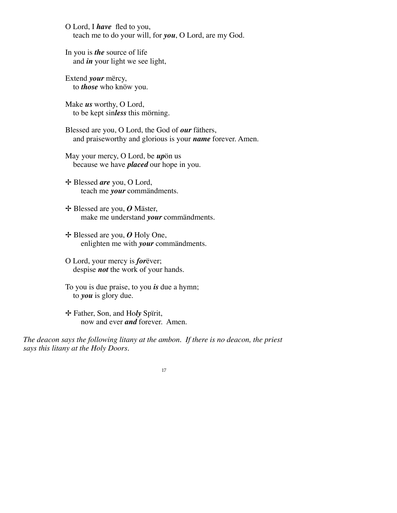O Lord, I *have* fled to you, teach me to do your will, for *you*, O Lord, are my God.

In you is *the* source of life and *in* your light we see light,

Extend *your* mërcy, to *those* who knöw you.

Make *us* worthy, O Lord, to be kept sin*less* this mörning.

Blessed are you, O Lord, the God of *our* fäthers, and praiseworthy and glorious is your *name* forever. Amen.

May your mercy, O Lord, be *up*ön us because we have *placed* our hope in you.

✢ Blessed *are* you, O Lord, teach me *your* commändments.

✢ Blessed are you, *O* Mäster, make me understand *your* commändments.

✢ Blessed are you, *O* Holy One, enlighten me with *your* commändments.

O Lord, your mercy is *for*ëver; despise *not* the work of your hands.

To you is due praise, to you *is* due a hymn; to *you* is glory due.

✢ Father, Son, and Ho*ly* Spïrit, now and ever *and* forever. Amen.

*The deacon says the following litany at the ambon. If there is no deacon, the priest says this litany at the Holy Doors.*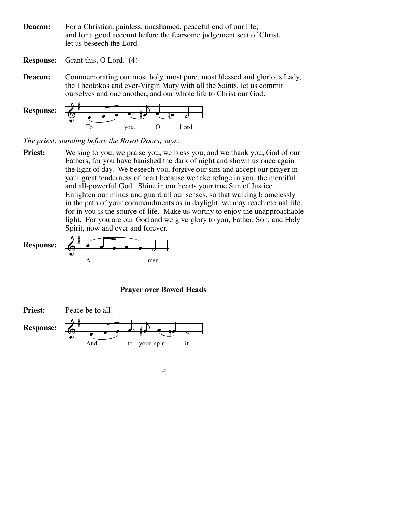For a Christian, painless, unashamed, peaceful end of our life, and for a good account before the fearsome judgement seat of Christ, let us beseech the Lord. **Deacon:**

Grant this, O Lord. (4) **Response:**

Commemorating our most holy, most pure, most blessed and glorious Lady, the Theotokos and ever-Virgin Mary with all the Saints, let us commit ourselves and one another, and our whole life to Christ our God. **Deacon:**



*The priest, standing before the Royal Doors, says:*

We sing to you, we praise you, we bless you, and we thank you, God of our Fathers, for you have banished the dark of night and shown us once again the light of day. We beseech you, forgive our sins and accept our prayer in your great tenderness of heart because we take refuge in you, the merciful and all-powerful God. Shine in our hearts your true Sun of Justice. Enlighten our minds and guard all our senses, so that walking blamelessly in the path of your commandments as in daylight, we may reach eternal life, for in you is the source of life. Make us worthy to enjoy the unapproachable light. For you are our God and we give glory to you, Father, Son, and Holy Spirit, now and ever and forever. **Priest:**

& # <sup>œ</sup> <sup>œ</sup> <sup>œ</sup> <sup>œ</sup> <sup>œ</sup> ˙ A - - - men. **Response:**

## **Prayer over Bowed Heads**



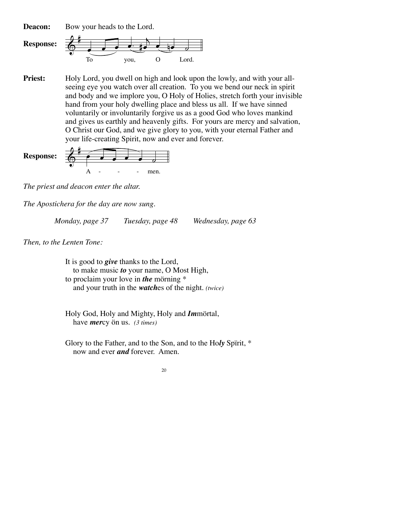Bow your heads to the Lord. **Deacon:**



Holy Lord, you dwell on high and look upon the lowly, and with your allseeing eye you watch over all creation. To you we bend our neck in spirit and body and we implore you, O Holy of Holies, stretch forth your invisible hand from your holy dwelling place and bless us all. If we have sinned voluntarily or involuntarily forgive us as a good God who loves mankind and gives us earthly and heavenly gifts. For yours are mercy and salvation, O Christ our God, and we give glory to you, with your eternal Father and your life-creating Spirit, now and ever and forever. **Priest:**

**Response:** 
$$
\begin{array}{|c|c|}\n\hline\n\end{array}
$$

*The priest and deacon enter the altar.* 

*The Apostichera for the day are now sung.*

 *Monday, page 37 Tuesday, page 48 Wednesday, page 63*

*Then, to the Lenten Tone:*

It is good to *give* thanks to the Lord, to make music *to* your name, O Most High, to proclaim your love in *the* mörning \* and your truth in the *watch*es of the night. *(twice)*

Holy God, Holy and Mighty, Holy and *Im*mörtal, have *mer*cy ön us. *(3 times)*

Glory to the Father, and to the Son, and to the Ho*ly* Spïrit, \* now and ever *and* forever. Amen.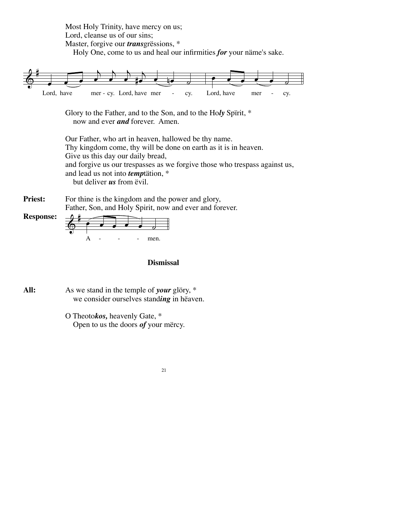Most Holy Trinity, have mercy on us; Lord, cleanse us of our sins; Master, forgive our *trans*grëssions, \* Holy One, come to us and heal our infirmities *for* your näme's sake.



Glory to the Father, and to the Son, and to the Ho*ly* Spïrit, \* now and ever *and* forever. Amen.

Our Father, who art in heaven, hallowed be thy name. Thy kingdom come, thy will be done on earth as it is in heaven. Give us this day our daily bread, and forgive us our trespasses as we forgive those who trespass against us, and lead us not into *temp*tätion, \* but deliver *us* from ëvil.

For thine is the kingdom and the power and glory, Father, Son, and Holy Spirit, now and ever and forever. **Priest:**



## **Dismissal**

As we stand in the temple of *your* glöry, \* we consider ourselves stand*ing* in hëaven. **All:**

> O Theoto*kos,* heavenly Gate, \* Open to us the doors *of* your mërcy.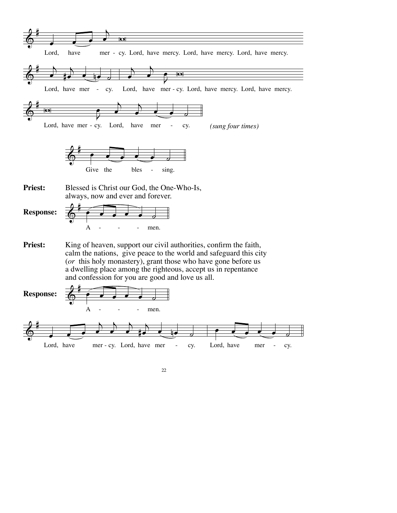

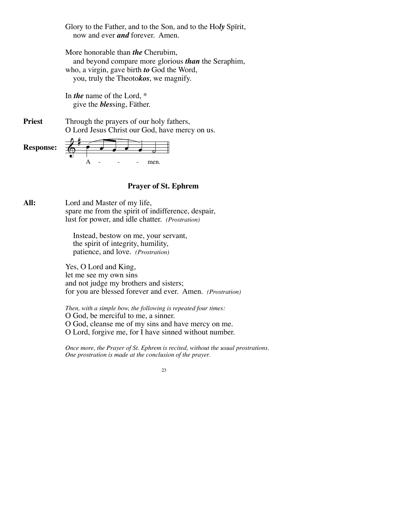Glory to the Father, and to the Son, and to the Ho*ly* Spïrit, now and ever *and* forever. Amen.

More honorable than *the* Cherubim, and beyond compare more glorious *than* the Seraphim, who, a virgin, gave birth *to* God the Word, you, truly the Theoto*kos*, we magnify.

In *the* name of the Lord, \* give the *bles*sing, Fäther.

Through the prayers of our holy fathers, O Lord Jesus Christ our God, have mercy on us. **Priest**

 $\&$   $\bullet$   $\bullet$   $\bullet$   $\bullet$   $\bullet$  $A - - -$  - men. **Response:**

## **Prayer of St. Ephrem**

Lord and Master of my life, spare me from the spirit of indifference, despair, lust for power, and idle chatter. *(Prostration)* **All:**

> Instead, bestow on me, your servant, the spirit of integrity, humility, patience, and love. *(Prostration)*

Yes, O Lord and King, let me see my own sins and not judge my brothers and sisters; for you are blessed forever and ever. Amen. *(Prostration)*

*Then, with a simple bow, the following is repeated four times:* O God, be merciful to me, a sinner. O God, cleanse me of my sins and have mercy on me. O Lord, forgive me, for I have sinned without number.

*Once more, the Prayer of St. Ephrem is recited, without the usual prostrations. One prostration is made at the conclusion of the prayer.*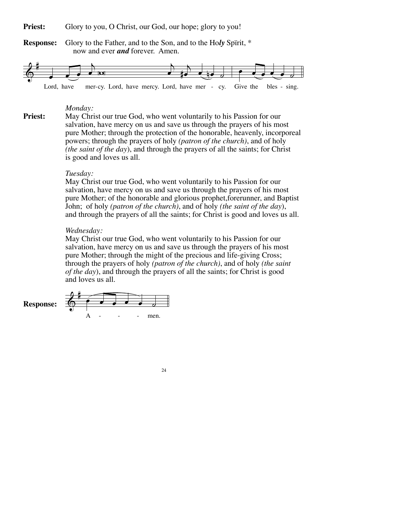**Priest:** Glory to you, O Christ, our God, our hope; glory to you!

**Response:** Glory to the Father, and to the Son, and to the Ho*ly* Spïrit, \* now and ever *and* forever. Amen.



#### *Monday:*

**Priest:** May Christ our true God, who went voluntarily to his Passion for our salvation, have mercy on us and save us through the prayers of his most pure Mother; through the protection of the honorable, heavenly, incorporeal powers; through the prayers of holy *(patron of the church)*, and of holy *(the saint of the day*), and through the prayers of all the saints; for Christ is good and loves us all.

## *Tuesday:*

May Christ our true God, who went voluntarily to his Passion for our salvation, have mercy on us and save us through the prayers of his most pure Mother; of the honorable and glorious prophet,forerunner, and Baptist John; of holy *(patron of the church)*, and of holy *(the saint of the day*), and through the prayers of all the saints; for Christ is good and loves us all.

#### *Wednesday:*

May Christ our true God, who went voluntarily to his Passion for our salvation, have mercy on us and save us through the prayers of his most pure Mother; through the might of the precious and life-giving Cross; through the prayers of holy *(patron of the church)*, and of holy *(the saint of the day*), and through the prayers of all the saints; for Christ is good and loves us all.



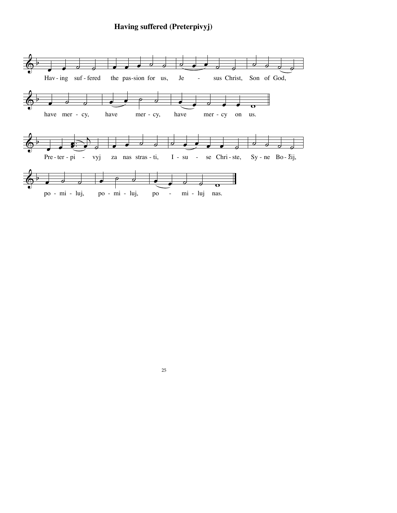# **Having suffered (Preterpivyj)**

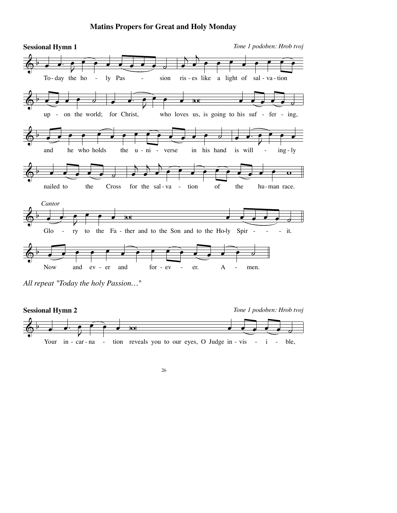## **Matins Propers for Great and Holy Monday**



*All repeat "Today the holy Passion…"*

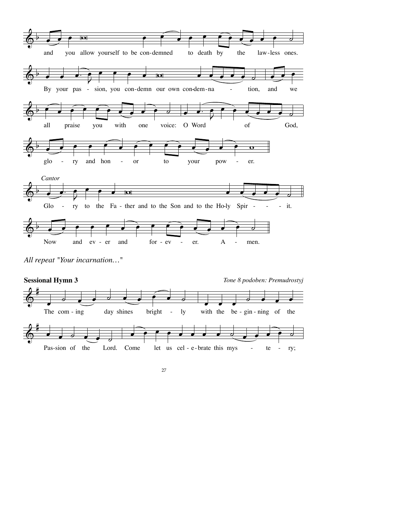

*All repeat "Your incarnation…"*



27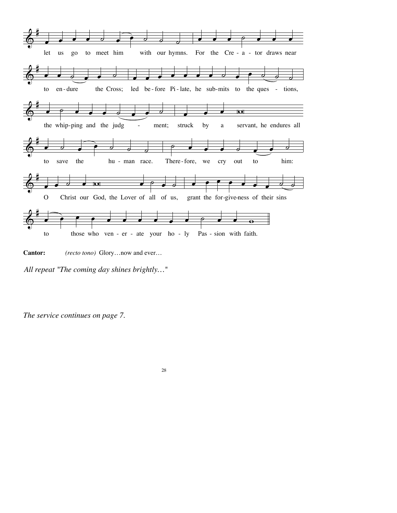



*All repeat "The coming day shines brightly…"*

*The service continues on page 7.*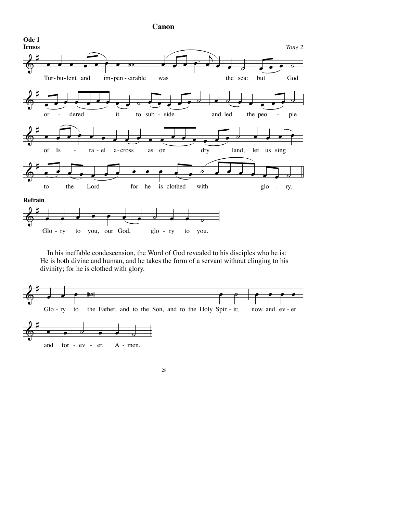**Canon**



 In his ineffable condescension, the Word of God revealed to his disciples who he is: He is both divine and human, and he takes the form of a servant without clinging to his divinity; for he is clothed with glory.

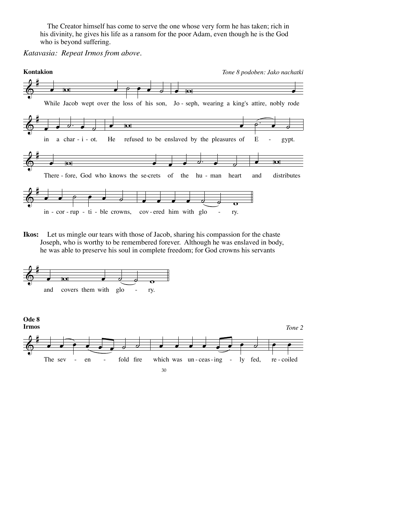The Creator himself has come to serve the one whose very form he has taken; rich in his divinity, he gives his life as a ransom for the poor Adam, even though he is the God who is beyond suffering.

*Katavasia: Repeat Irmos from above.*



**Ikos:** Let us mingle our tears with those of Jacob, sharing his compassion for the chaste Joseph, who is worthy to be remembered forever. Although he was enslaved in body, he was able to preserve his soul in complete freedom; for God crowns his servants

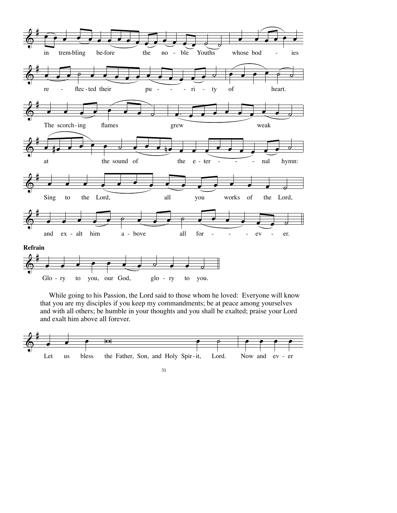

 While going to his Passion, the Lord said to those whom he loved: Everyone will know that you are my disciples if you keep my commandments; be at peace among yourselves and with all others; be humble in your thoughts and you shall be exalted; praise your Lord and exalt him above all forever.



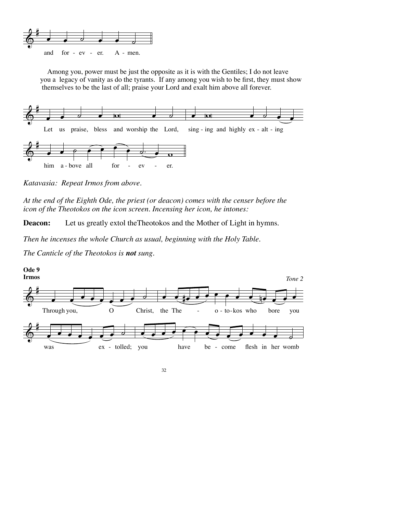

 Among you, power must be just the opposite as it is with the Gentiles; I do not leave you a legacy of vanity as do the tyrants. If any among you wish to be first, they must show themselves to be the last of all; praise your Lord and exalt him above all forever.



*Katavasia: Repeat Irmos from above.*

*At the end of the Eighth Ode, the priest (or deacon) comes with the censer before the icon of the Theotokos on the icon screen. Incensing her icon, he intones:*

**Deacon:** Let us greatly extol theTheotokos and the Mother of Light in hymns.

*Then he incenses the whole Church as usual, beginning with the Holy Table.*

*The Canticle of the Theotokos is not sung.*



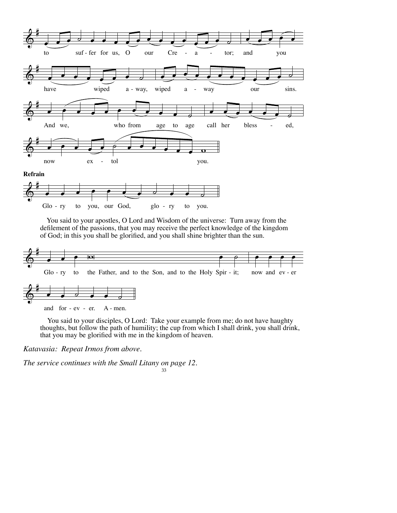



 You said to your apostles, O Lord and Wisdom of the universe: Turn away from the defilement of the passions, that you may receive the perfect knowledge of the kingdom of God; in this you shall be glorified, and you shall shine brighter than the sun.



You said to your disciples, O Lord: Take your example from me; do not have haughty thoughts, but follow the path of humility; the cup from which <sup>I</sup> shall drink, you shall drink, that you may be glorified with me in the kingdom of heaven.

*Katavasia: Repeat Irmos from above.*

33 *The service continues with the Small Litany on page 12.*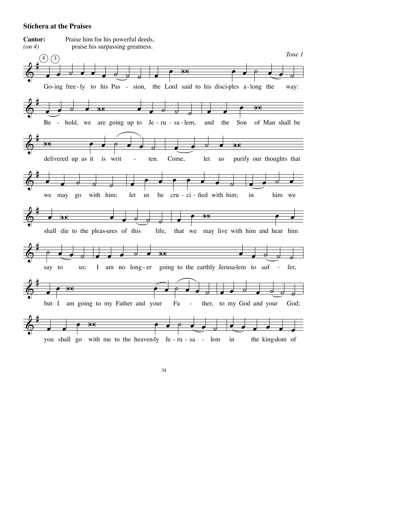### **Stichera at the Praises**

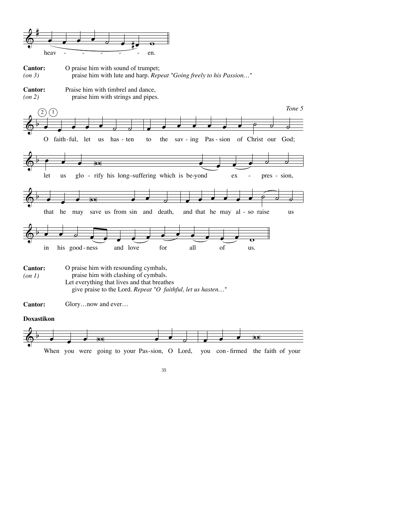![](_page_36_Figure_0.jpeg)

![](_page_36_Figure_1.jpeg)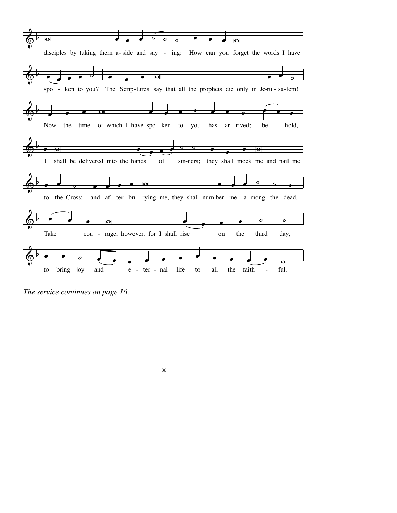![](_page_37_Figure_0.jpeg)

*The service continues on page 16.*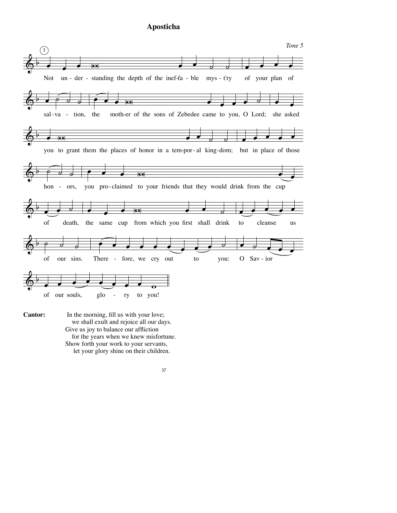# **Aposticha**

![](_page_38_Figure_1.jpeg)

 In the morning, fill us with your love; we shall exult and rejoice all our days. Give us joy to balance our affliction for the years when we knew misfortune. Show forth your work to your servants, let your glory shine on their children. **Cantor:**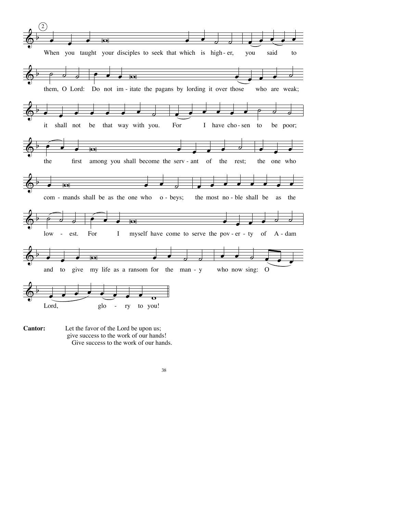![](_page_39_Figure_0.jpeg)

Let the favor of the Lord be upon us; give success to the work of our hands! Give success to the work of our hands. **Cantor:**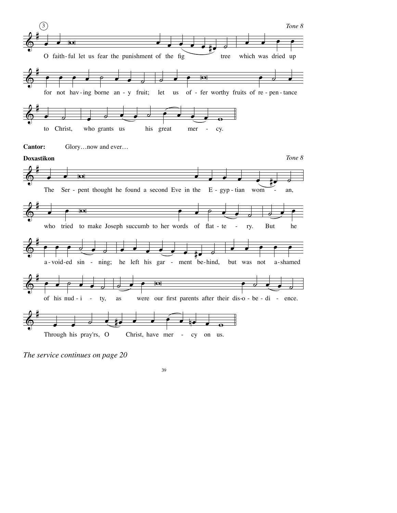![](_page_40_Figure_0.jpeg)

*The service continues on page 20*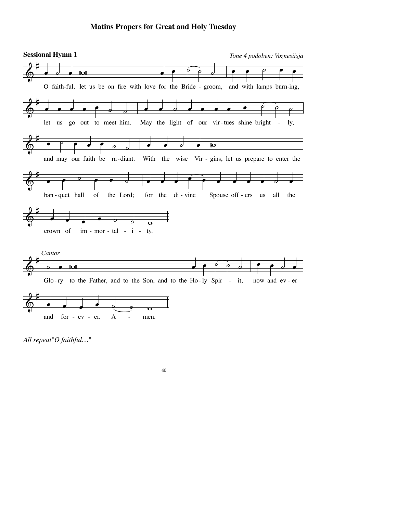## **Matins Propers for Great and Holy Tuesday**

![](_page_41_Figure_1.jpeg)

*All repeat"O faithful…"*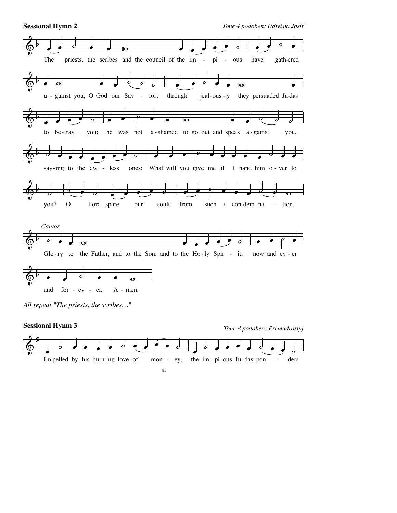![](_page_42_Figure_0.jpeg)

**Sessional Hymn 2** *Tone 4 podoben: Udivisja Josif*

![](_page_42_Figure_2.jpeg)

*All repeat "The priests, the scribes…"*

![](_page_42_Figure_4.jpeg)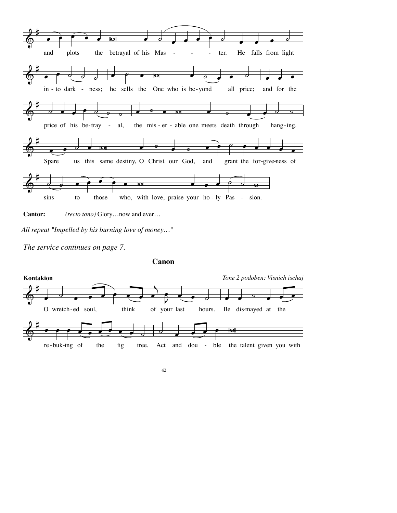![](_page_43_Figure_0.jpeg)

**Cantor:** *(recto tono)* Glory…now and ever…

*The service continues on page 7.*

**Canon**

![](_page_43_Figure_5.jpeg)

*All repeat "Impelled by his burning love of money…"*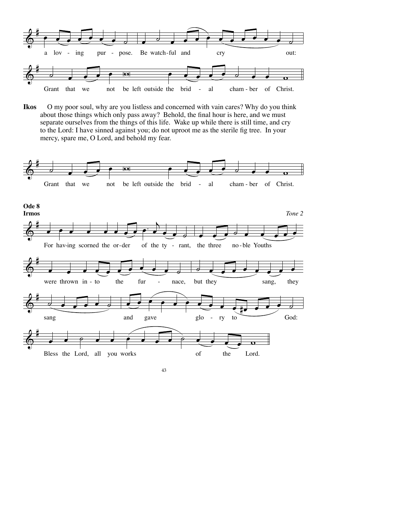![](_page_44_Figure_0.jpeg)

**Ikos** O my poor soul, why are you listless and concerned with vain cares? Why do you think about those things which only pass away? Behold, the final hour is here, and we must separate ourselves from the things of this life. Wake up while there is still time, and cry to the Lord: I have sinned against you; do not uproot me as the sterile fig tree. In your mercy, spare me, O Lord, and behold my fear.

![](_page_44_Figure_2.jpeg)

![](_page_44_Figure_3.jpeg)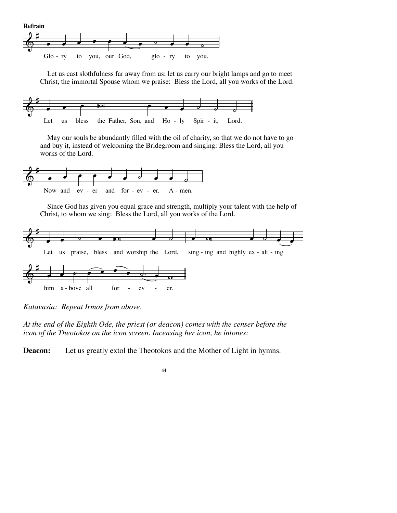![](_page_45_Figure_0.jpeg)

 Let us cast slothfulness far away from us; let us carry our bright lamps and go to meet Christ, the immortal Spouse whom we praise: Bless the Lord, all you works of the Lord.

![](_page_45_Figure_2.jpeg)

 May our souls be abundantly filled with the oil of charity, so that we do not have to go and buy it, instead of welcoming the Bridegroom and singing: Bless the Lord, all you works of the Lord.

![](_page_45_Figure_4.jpeg)

 Since God has given you equal grace and strength, multiply your talent with the help of Christ, to whom we sing: Bless the Lord, all you works of the Lord.

![](_page_45_Figure_6.jpeg)

*Katavasia: Repeat Irmos from above.*

*At the end of the Eighth Ode, the priest (or deacon) comes with the censer before the icon of the Theotokos on the icon screen. Incensing her icon, he intones:*

**Deacon:** Let us greatly extol the Theotokos and the Mother of Light in hymns.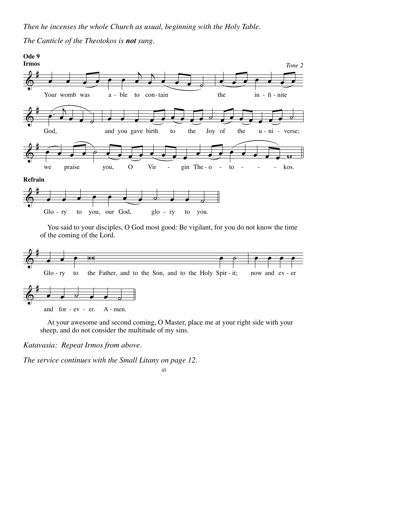# *The Canticle of the Theotokos is not sung.*

![](_page_46_Figure_2.jpeg)

 You said to your disciples, O God most good: Be vigilant, for you do not know the time of the coming of the Lord.

![](_page_46_Figure_4.jpeg)

 At your awesome and second coming, O Master, place me at your right side with your sheep, and do not consider the multitude of my sins.

*Katavasia: Repeat Irmos from above.*

*The service continues with the Small Litany on page 12.*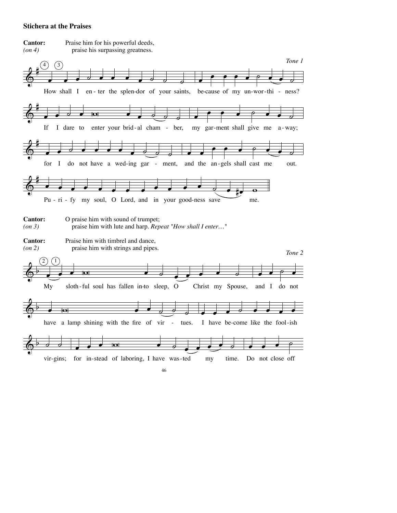## **Stichera at the Praises**

![](_page_47_Figure_1.jpeg)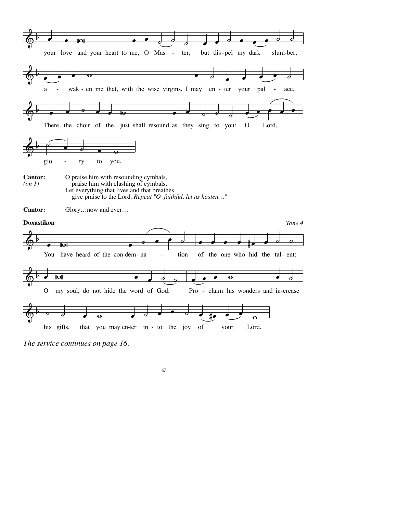![](_page_48_Figure_0.jpeg)

*The service continues on page 16.*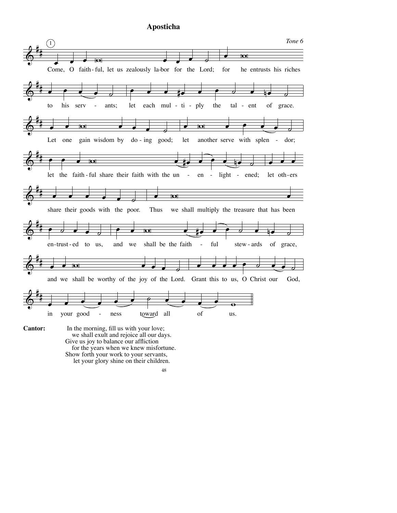# **Aposticha**

![](_page_49_Figure_1.jpeg)

 we shall exult and rejoice all our days. Give us joy to balance our affliction for the years when we knew misfortune. Show forth your work to your servants, let your glory shine on their children.

<sup>48</sup>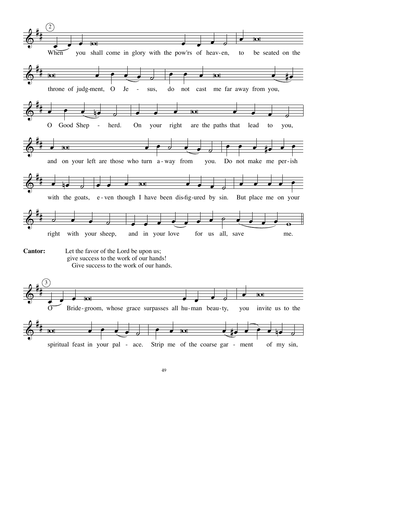![](_page_50_Figure_0.jpeg)

spiritual feast in your pal - ace. Strip me of the coarse gar - ment of my sin,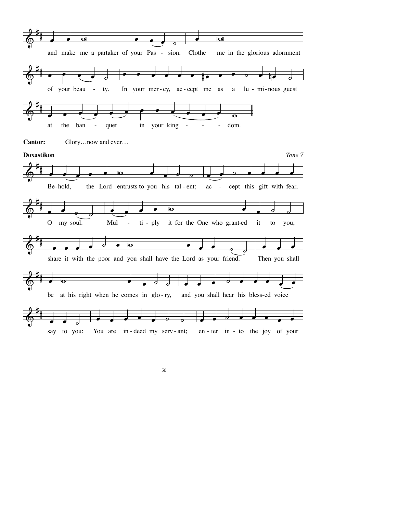![](_page_51_Figure_0.jpeg)

![](_page_51_Figure_1.jpeg)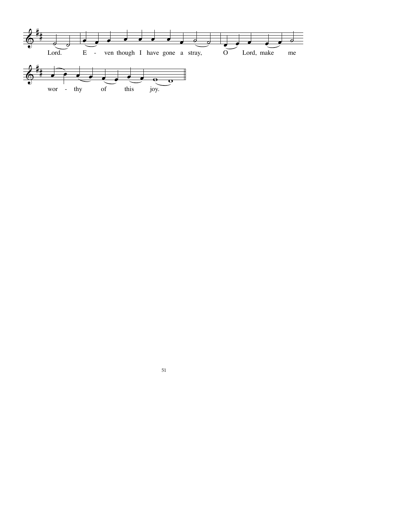![](_page_52_Figure_0.jpeg)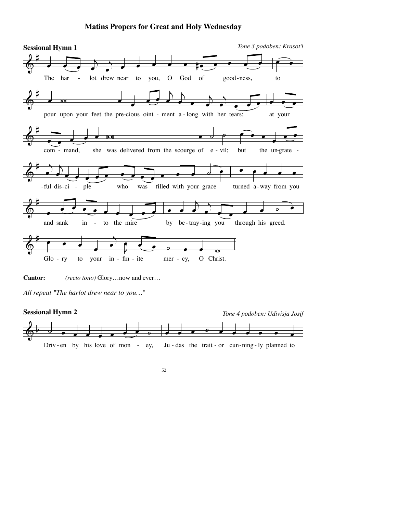# **Matins Propers for Great and Holy Wednesday**

![](_page_53_Figure_1.jpeg)

**Cantor:** *(recto tono)* Glory…now and ever…

*All repeat "The harlot drew near to you…"*

![](_page_53_Figure_4.jpeg)

![](_page_53_Figure_5.jpeg)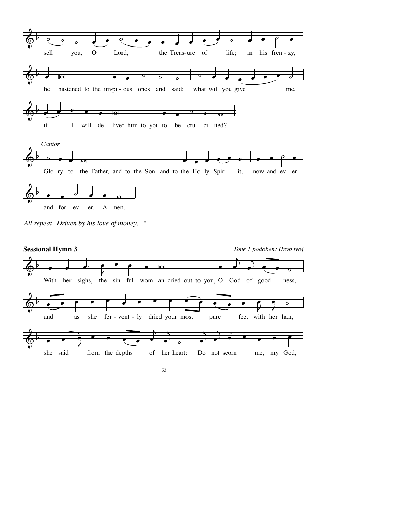![](_page_54_Figure_0.jpeg)

![](_page_54_Figure_1.jpeg)

![](_page_54_Figure_2.jpeg)

![](_page_54_Figure_3.jpeg)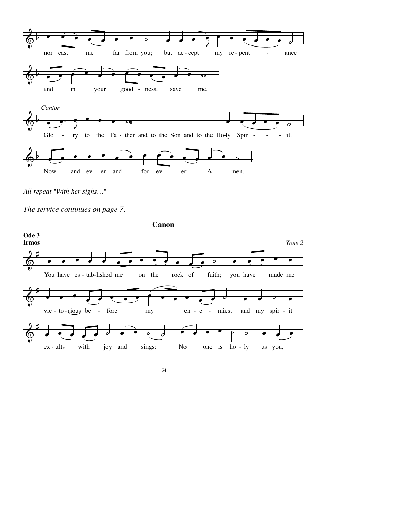![](_page_55_Figure_0.jpeg)

*All repeat "With her sighs…"*

**Canon**

![](_page_55_Figure_4.jpeg)

![](_page_55_Figure_5.jpeg)

*The service continues on page 7.*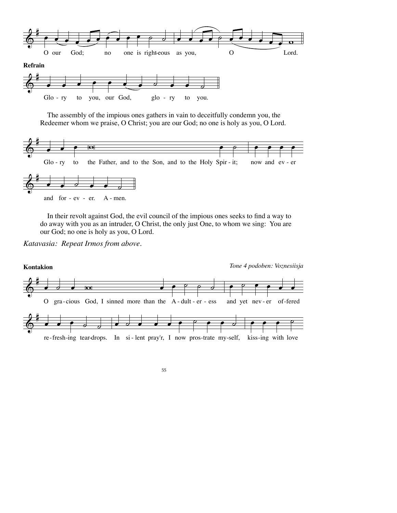![](_page_56_Figure_0.jpeg)

 The assembly of the impious ones gathers in vain to deceitfully condemn you, the Redeemer whom we praise, O Christ; you are our God; no one is holy as you, O Lord.

![](_page_56_Figure_2.jpeg)

 In their revolt against God, the evil council of the impious ones seeks to find a way to do away with you as an intruder, O Christ, the only just One, to whom we sing: You are our God; no one is holy as you, O Lord.

*Katavasia: Repeat Irmos from above.*

![](_page_56_Figure_5.jpeg)

![](_page_56_Figure_6.jpeg)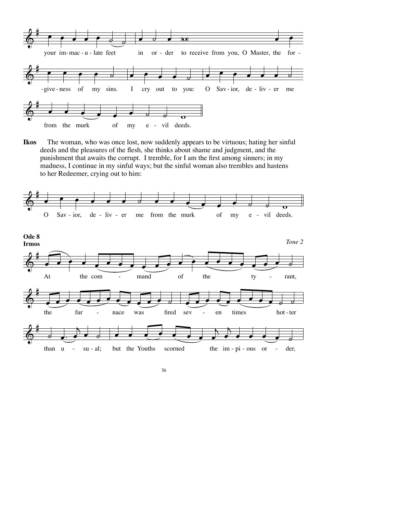![](_page_57_Figure_0.jpeg)

**Ikos** The woman, who was once lost, now suddenly appears to be virtuous; hating her sinful deeds and the pleasures of the flesh, she thinks about shame and judgment, and the punishment that awaits the corrupt. I tremble, for I am the first among sinners; in my madness, I continue in my sinful ways; but the sinful woman also trembles and hastens to her Redeemer, crying out to him:

![](_page_57_Figure_2.jpeg)

![](_page_57_Figure_3.jpeg)

![](_page_57_Figure_4.jpeg)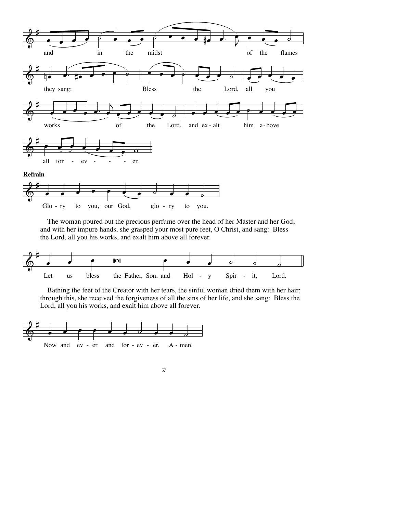![](_page_58_Figure_0.jpeg)

 The woman poured out the precious perfume over the head of her Master and her God; and with her impure hands, she grasped your most pure feet, O Christ, and sang: Bless the Lord, all you his works, and exalt him above all forever.

![](_page_58_Figure_2.jpeg)

 Bathing the feet of the Creator with her tears, the sinful woman dried them with her hair; through this, she received the forgiveness of all the sins of her life, and she sang: Bless the Lord, all you his works, and exalt him above all forever.

![](_page_58_Figure_4.jpeg)

![](_page_58_Figure_5.jpeg)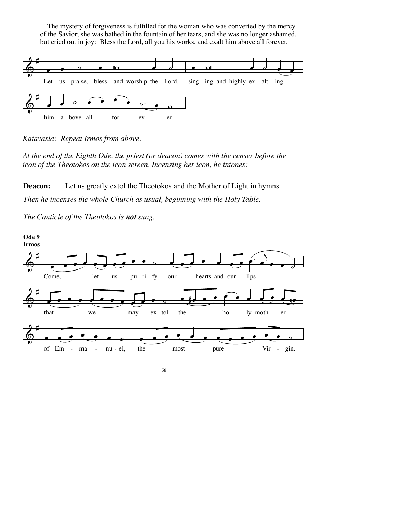The mystery of forgiveness is fulfilled for the woman who was converted by the mercy of the Savior; she was bathed in the fountain of her tears, and she was no longer ashamed, but cried out in joy: Bless the Lord, all you his works, and exalt him above all forever.

![](_page_59_Figure_1.jpeg)

*Katavasia: Repeat Irmos from above.*

*At the end of the Eighth Ode, the priest (or deacon) comes with the censer before the icon of the Theotokos on the icon screen. Incensing her icon, he intones:*

**Deacon:** Let us greatly extol the Theotokos and the Mother of Light in hymns. *Then he incenses the whole Church as usual, beginning with the Holy Table.*

*The Canticle of the Theotokos is not sung.*

![](_page_59_Figure_6.jpeg)

![](_page_59_Figure_7.jpeg)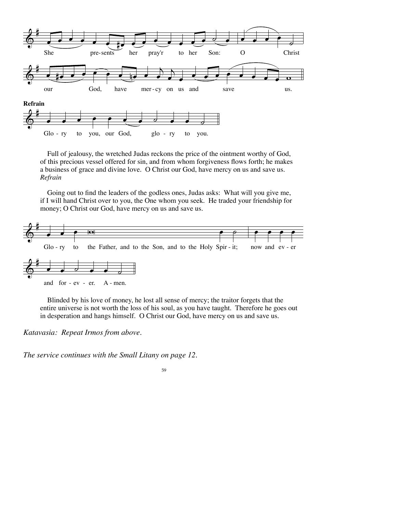![](_page_60_Figure_0.jpeg)

 Full of jealousy, the wretched Judas reckons the price of the ointment worthy of God, of this precious vessel offered for sin, and from whom forgiveness flows forth; he makes a business of grace and divine love. O Christ our God, have mercy on us and save us. *Refrain*

 Going out to find the leaders of the godless ones, Judas asks: What will you give me, if I will hand Christ over to you, the One whom you seek. He traded your friendship for money; O Christ our God, have mercy on us and save us.

![](_page_60_Figure_3.jpeg)

 Blinded by his love of money, he lost all sense of mercy; the traitor forgets that the entire universe is not worth the loss of his soul, as you have taught. Therefore he goes out in desperation and hangs himself. O Christ our God, have mercy on us and save us.

*Katavasia: Repeat Irmos from above.*

*The service continues with the Small Litany on page 12.*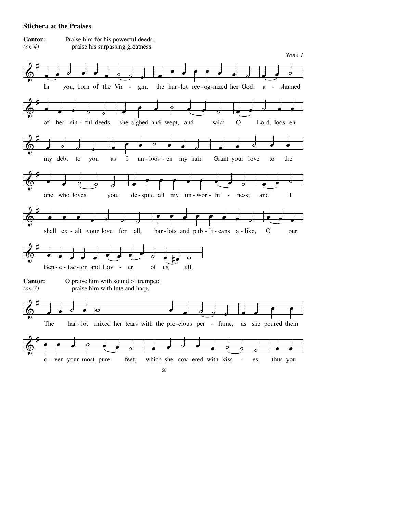### **Stichera at the Praises**

![](_page_61_Figure_1.jpeg)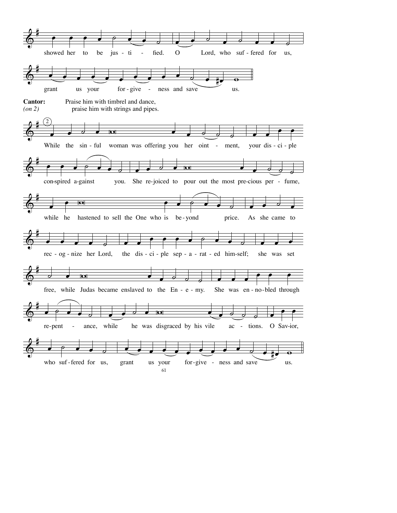![](_page_62_Figure_0.jpeg)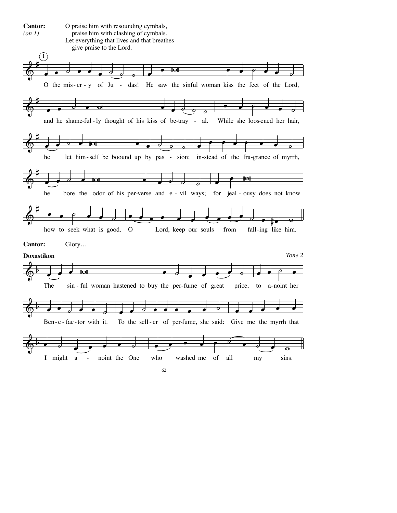![](_page_63_Figure_0.jpeg)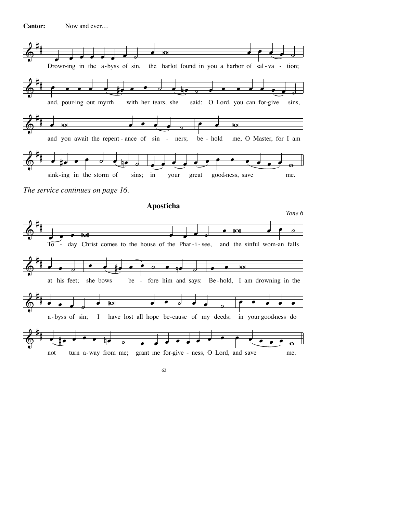**Cantor:** Now and ever…

![](_page_64_Figure_1.jpeg)

![](_page_64_Figure_2.jpeg)

![](_page_64_Figure_3.jpeg)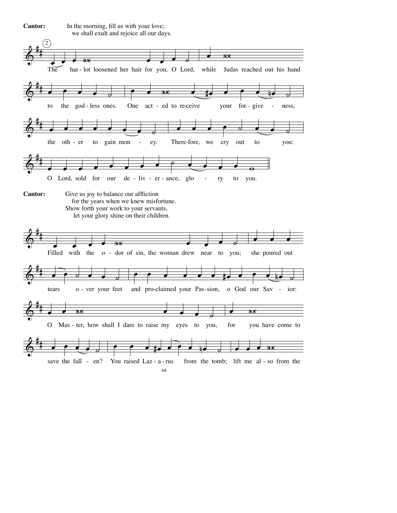![](_page_65_Figure_0.jpeg)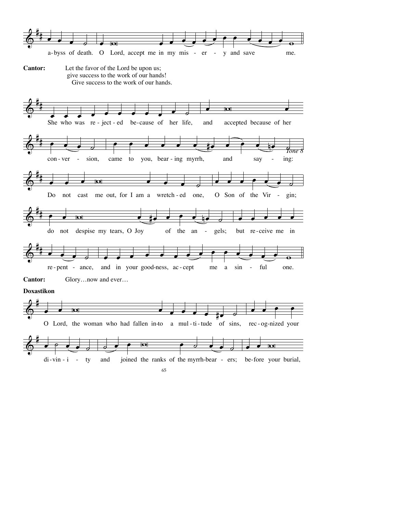![](_page_66_Figure_0.jpeg)

![](_page_66_Figure_1.jpeg)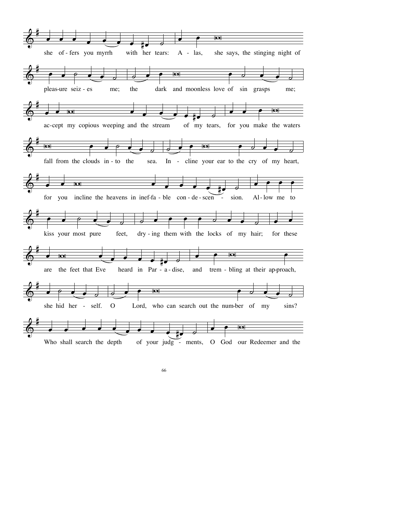![](_page_67_Figure_0.jpeg)

![](_page_67_Figure_1.jpeg)